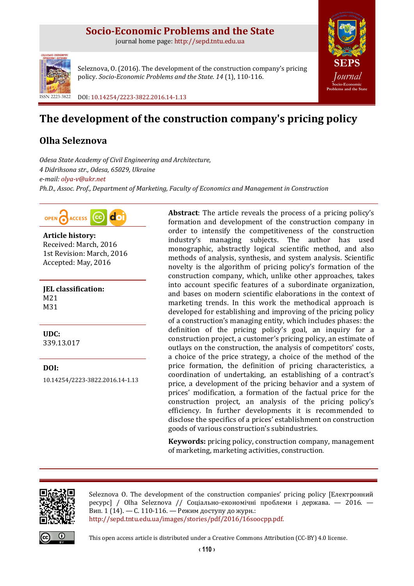## **Socio-Economic Problems and the State**

journal home page: [http://sepd.tntu.edu.ua](http://sepd.tntu.edu.ua/)



Seleznova, O. (2016). The development of the construction company's pricing policy. *Socio-Economic Problems and the State*. *14* (1), 110-116.

ISSN 2223-3822 DOI[: 10.14254/2223-3822.2016.14-1.13](http://dx.doi.org/10.14254/2223-3822.2016.14-1.13)

# **The development of the construction company's pricing policy**

## **Olha Seleznova**

*Odesa State Academy of Civil Engineering and Architecture, 4 Didrihsona str., Odesa, 65029, Ukraine e-mail: [olya-v@ukr.net](mailto:olya-v@ukr.net) Ph.D., Assoc. Prof., Department of Marketing, Faculty of Economics and Management in Construction*

do OPEN ACCESS

**Article history:** Received: March, 2016 1st Revision: March, 2016 Accepted: May, 2016

**JEL classification:** M21 M31

**UDC:** 339.13.017

**DOI:** [10.14254/2223-3822.2016.14-1.13](http://dx.doi.org/10.14254/2223-3822.2016.14-1.13) **Abstract**: The article reveals the process of a pricing policy's formation and development of the construction company in order to intensify the competitiveness of the construction industry's managing subjects. The author has used monographic, abstractly logical scientific method, and also methods of analysis, synthesis, and system analysis. Scientific novelty is the algorithm of pricing policy's formation of the construction company, which, unlike other approaches, takes into account specific features of a subordinate organization, and bases on modern scientific elaborations in the context of marketing trends. In this work the methodical approach is developed for establishing and improving of the pricing policy of a construction's managing entity, which includes phases: the definition of the pricing policy's goal, an inquiry for a construction project, a customer's pricing policy, an estimate of outlays on the construction, the analysis of competitors' costs, a choice of the price strategy, a choice of the method of the price formation, the definition of pricing characteristics, a coordination of undertaking, an establishing of a contract's price, a development of the pricing behavior and a system of prices' modification, a formation of the factual price for the construction project, an analysis of the pricing policy's efficiency. In further developments it is recommended to disclose the specifics of a prices' establishment on construction goods of various construction's subindustries.

**[SEPS](http://sepd.tntu.edu.ua/)** *[Journal](http://sepd.tntu.edu.ua/)* **[Socio-Economic](http://sepd.tntu.edu.ua/)  [Problems and the State](http://sepd.tntu.edu.ua/)**

**Keywords:** pricing policy, construction company, management of marketing, marketing activities, construction.



Seleznova O. The development of the construction companies' pricing policy [Електронний ресурс] / Olha Seleznova // Соціально-економічні проблеми і держава. — 2016. — Вип. 1 (14). — С. 110-116. — Режим доступу до журн.: [http://sepd.tntu.edu.ua/images/stories/pdf/2016/16soocpp.pdf.](http://sepd.tntu.edu.ua/images/stories/pdf/2016/16soocpp.pdf)



This open access article is distributed under [a Creative Commons Attribution \(CC-BY\) 4.0 license.](http://creativecommons.org/licenses/by/4.0/)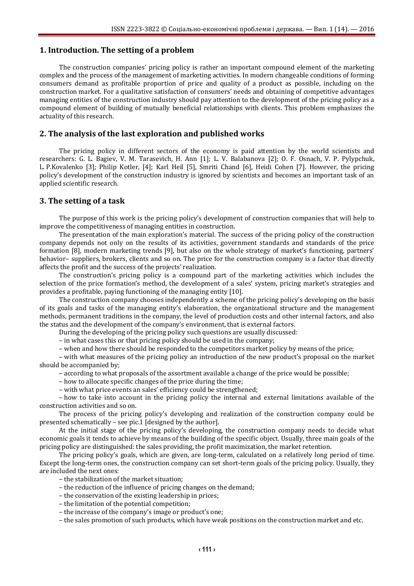## **1. Introduction. The setting of a problem**

The construction companies' pricing policy is rather an important compound element of the marketing complex and the process of the management of marketing activities. In modern changeable conditions of forming consumers demand as profitable proportion of price and quality of a product as possible, including on the construction market. For a qualitative satisfaction of consumers' needs and obtaining of competitive advantages managing entities of the construction industry should pay attention to the development of the pricing policy as a compound element of building of mutually beneficial relationships with clients. This problem emphasizes the actuality of this research.

## **2. The analysis of the last exploration and published works**

The pricing policy in different sectors of the economy is paid attention by the world scientists and researchers: G. L. Bagiev, V. M. Tarasevich, H. Ann [1]; L. V. Balabanova [2]; O. F. Osnach, V. P. Pylypchuk, L. P.Kovalenko [3]; Philip Kotler, [4]; Karl Heil [5], Smriti Chand [6], Heidi Cohen [7]. However, the pricing policy's development of the construction industry is ignored by scientists and becomes an important task of an applied scientific research.

#### **3. The setting of a task**

The purpose of this work is the pricing policy's development of construction companies that will help to improve the competitiveness of managing entities in construction.

The presentation of the main exploration's material. The success of the pricing policy of the construction company depends not only on the results of its activities, government standards and standards of the price formation [8], modern marketing trends [9], but also on the whole strategy of market's functioning, partners' behavior– suppliers, brokers, clients and so on. The price for the construction company is a factor that directly affects the profit and the success of the projects' realization.

The construction's pricing policy is a compound part of the marketing activities which includes the selection of the price formation's method, the development of a sales' system, pricing market's strategies and provides a profitable, paying functioning of the managing entity [10].

The construction company chooses independently a scheme of the pricing policy's developing on the basis of its goals and tasks of the managing entity's elaboration, the organizational structure and the management methods, permanent traditions in the company, the level of production costs and other internal factors, and also the status and the development of the company's environment, that is external factors.

During the developing of the pricing policy such questions are usually discussed:

– in what cases this or that pricing policy should be used in the company;

– when and how there should be responded to the competitors market policy by means of the price;

– with what measures of the pricing policy an introduction of the new product's proposal on the market should be accompanied by;

– according to what proposals of the assortment available a change of the price would be possible;

– how to allocate specific changes of the price during the time;

– with what price events an sales' efficiency could be strengthened;

– how to take into account in the pricing policy the internal and external limitations available of the construction activities and so on.

The process of the pricing policy's developing and realization of the construction company could be presented schematically – see pic.1 [designed by the author].

At the initial stage of the pricing policy's developing, the construction company needs to decide what economic goals it tends to achieve by means of the building of the specific object. Usually, three main goals of the pricing policy are distinguished: the sales providing, the profit maximization, the market retention.

The pricing policy's goals, which are given, are long-term, calculated on a relatively long period of time. Except the long-term ones, the construction company can set short-term goals of the pricing policy. Usually, they are included the next ones:

– the stabilization of the market situation;

- the reduction of the influence of pricing changes on the demand;
- the conservation of the existing leadership in prices;
- the limitation of the potential competition;
- the increase of the company's image or product's one;

– the sales promotion of such products, which have weak positions on the construction market and etc.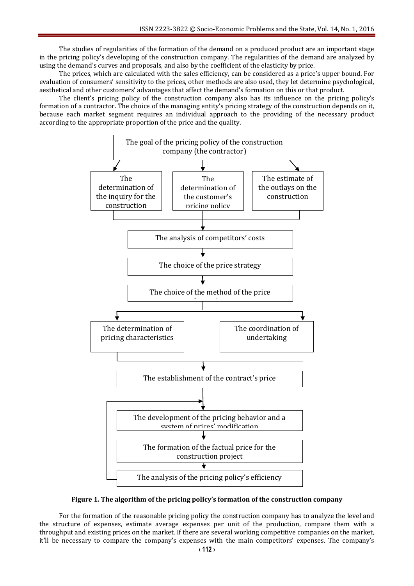The studies of regularities of the formation of the demand on a produced product are an important stage in the pricing policy's developing of the construction company. The regularities of the demand are analyzed by using the demand's curves and proposals, and also by the coefficient of the elasticity by price.

The prices, which are calculated with the sales efficiency, can be considered as a price's upper bound. For evaluation of consumers' sensitivity to the prices, other methods are also used, they let determine psychological, aesthetical and other customers' advantages that affect the demand's formation on this or that product.

The client's pricing policy of the construction company also has its influence on the pricing policy's formation of a contractor. The choice of the managing entity's pricing strategy of the construction depends on it, because each market segment requires an individual approach to the providing of the necessary product according to the appropriate proportion of the price and the quality.



#### **Figure 1. The algorithm of the pricing policy's formation of the construction company**

For the formation of the reasonable pricing policy the construction company has to analyze the level and the structure of expenses, estimate average expenses per unit of the production, compare them with a throughput and existing prices on the market. If there are several working competitive companies on the market, it'll be necessary to compare the company's expenses with the main competitors' expenses. The company's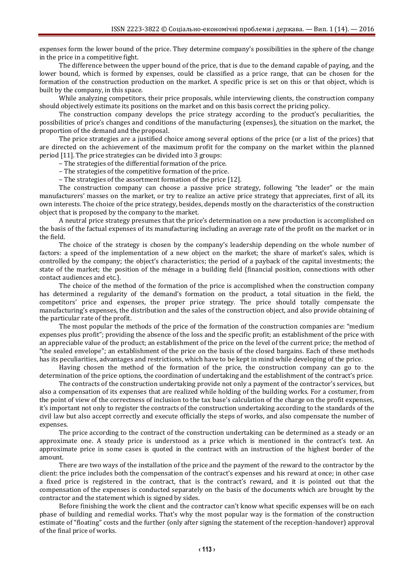expenses form the lower bound of the price. They determine company's possibilities in the sphere of the change in the price in a competitive fight.

The difference between the upper bound of the price, that is due to the demand capable of paying, and the lower bound, which is formed by expenses, could be classified as a price range, that can be chosen for the formation of the construction production on the market. A specific price is set on this or that object, which is built by the company, in this space.

While analyzing competitors, their price proposals, while interviewing clients, the construction company should objectively estimate its positions on the market and on this basis correct the pricing policy.

The construction company develops the price strategy according to the product's peculiarities, the possibilities of price's changes and conditions of the manufacturing (expenses), the situation on the market, the proportion of the demand and the proposal.

The price strategies are a justified choice among several options of the price (or a list of the prices) that are directed on the achievement of the maximum profit for the company on the market within the planned period [11]. The price strategies can be divided into 3 groups:

– The strategies of the differential formation of the price.

– The strategies of the competitive formation of the price.

– The strategies of the assortment formation of the price [12].

The construction company can choose a passive price strategy, following "the leader" or the main manufacturers' masses on the market, or try to realize an active price strategy that appreciates, first of all, its own interests. The choice of the price strategy, besides, depends mostly on the characteristics of the construction object that is proposed by the company to the market.

A neutral price strategy presumes that the price's determination on a new production is accomplished on the basis of the factual expenses of its manufacturing including an average rate of the profit on the market or in the field.

The choice of the strategy is chosen by the company's leadership depending on the whole number of factors: a speed of the implementation of a new object on the market; the share of market's sales, which is controlled by the company; the object's characteristics; the period of a payback of the capital investments; the state of the market; the position of the ménage in a building field (financial position, connections with other contact audiences and etc.).

The choice of the method of the formation of the price is accomplished when the construction company has determined a regularity of the demand's formation on the product, a total situation in the field, the competitors' price and expenses, the proper price strategy. The price should totally compensate the manufacturing's expenses, the distribution and the sales of the construction object, and also provide obtaining of the particular rate of the profit.

The most popular the methods of the price of the formation of the construction companies are: "medium expenses plus profit"; providing the absence of the loss and the specific profit; an establishment of the price with an appreciable value of the product; an establishment of the price on the level of the current price; the method of "the sealed envelope"; an establishment of the price on the basis of the closed bargains. Each of these methods has its peculiarities, advantages and restrictions, which have to be kept in mind while developing of the price.

Having chosen the method of the formation of the price, the construction company can go to the determination of the price options, the coordination of undertaking and the establishment of the contract's price.

The contracts of the construction undertaking provide not only a payment of the contractor's services, but also a compensation of its expenses that are realized while holding of the building works. For a costumer, from the point of view of the correctness of inclusion to the tax base's calculation of the charge on the profit expenses, it's important not only to register the contracts of the construction undertaking according to the standards of the civil law but also accept correctly and execute officially the steps of works, and also compensate the number of expenses.

The price according to the contract of the construction undertaking can be determined as a steady or an approximate one. A steady price is understood as a price which is mentioned in the contract's text. An approximate price in some cases is quoted in the contract with an instruction of the highest border of the amount.

There are two ways of the installation of the price and the payment of the reward to the contractor by the client: the price includes both the compensation of the contract's expenses and his reward at once; in other case a fixed price is registered in the contract, that is the contract's reward, and it is pointed out that the compensation of the expenses is conducted separately on the basis of the documents which are brought by the contractor and the statement which is signed by sides.

Before finishing the work the client and the contractor can't know what specific expenses will be on each phase of building and remedial works. That's why the most popular way is the formation of the construction estimate of "floating" costs and the further (only after signing the statement of the reception-handover) approval of the final price of works.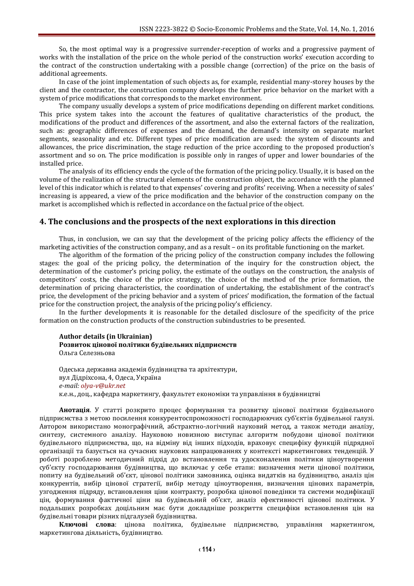So, the most optimal way is a progressive surrender-reception of works and a progressive payment of works with the installation of the price on the whole period of the construction works' execution according to the contract of the construction undertaking with a possible change (correction) of the price on the basis of additional agreements.

In case of the joint implementation of such objects as, for example, residential many-storey houses by the client and the contractor, the construction company develops the further price behavior on the market with a system of price modifications that corresponds to the market environment.

The company usually develops a system of price modifications depending on different market conditions. This price system takes into the account the features of qualitative characteristics of the product, the modifications of the product and differences of the assortment, and also the external factors of the realization, such as: geographic differences of expenses and the demand, the demand's intensity on separate market segments, seasonality and etc. Different types of price modification are used: the system of discounts and allowances, the price discrimination, the stage reduction of the price according to the proposed production's assortment and so on. The price modification is possible only in ranges of upper and lower boundaries of the installed price.

The analysis of its efficiency ends the cycle of the formation of the pricing policy. Usually, it is based on the volume of the realization of the structural elements of the construction object, the accordance with the planned level of this indicator which is related to that expenses' covering and profits' receiving. When a necessity of sales' increasing is appeared, a view of the price modification and the behavior of the construction company on the market is accomplished which is reflected in accordance on the factual price of the object.

#### **4. The conclusions and the prospects of the next explorations in this direction**

Thus, in conclusion, we can say that the development of the pricing policy affects the efficiency of the marketing activities of the construction company, and as a result – on its profitable functioning on the market.

The algorithm of the formation of the pricing policy of the construction company includes the following stages: the goal of the pricing policy, the determination of the inquiry for the construction object, the determination of the customer's pricing policy, the estimate of the outlays on the construction, the analysis of competitors' costs, the choice of the price strategy, the choice of the method of the price formation, the determination of pricing characteristics, the coordination of undertaking, the establishment of the contract's price, the development of the pricing behavior and a system of prices' modification, the formation of the factual price for the construction project, the analysis of the pricing policy's efficiency.

In the further developments it is reasonable for the detailed disclosure of the specificity of the price formation on the construction products of the construction subindustries to be presented.

#### **Author details (in Ukrainian) Розвиток цінової політики будівельних підприємств** Ольга Селезньова

Одеська державна академія будівництва та архітектури, вул Дідріхсона, 4, Одеса, Україна *e-mail[: olya-v@ukr.net](mailto:olya-v@ukr.net)* к.е.н., доц., кафедра маркетингу, факультет економіки та управління в будівництві

**Анотація**. У статті розкрито процес формування та розвитку цінової політики будівельного підприємства з метою посилення конкурентоспроможності господарюючих суб'єктів будівельної галузі. Автором використано монографічний, абстрактно-логічний науковий метод, а також методи аналізу, синтезу, системного аналізу. Науковою новизною виступає алгоритм побудови цінової політики будівельного підприємства, що, на відміну від інших підходів, враховує специфіку функцій підрядної організації та базується на сучасних наукових напрацюваннях у контексті маркетингових тенденцій. У роботі розроблено методичний підхід до встановлення та удосконалення політики ціноутворення суб'єкту господарювання будівництва, що включає у себе етапи: визначення мети цінової політики, попиту на будівельний об'єкт, цінової політики замовника, оцінка видатків на будівництво, аналіз цін конкурентів, вибір цінової стратегії, вибір методу ціноутворення, визначення цінових параметрів, узгодження підряду, встановлення ціни контракту, розробка цінової поведінки та системи модифікації цін, формування фактичної ціни на будівельний об'єкт, аналіз ефективності цінової політики. У подальших розробках доцільним має бути докладніше розкриття специфіки встановлення цін на будівельні товари різних підгалузей будівництва.

**Ключові слова**: цінова політика, будівельне підприємство, управління маркетингом, маркетингова діяльність, будівництво.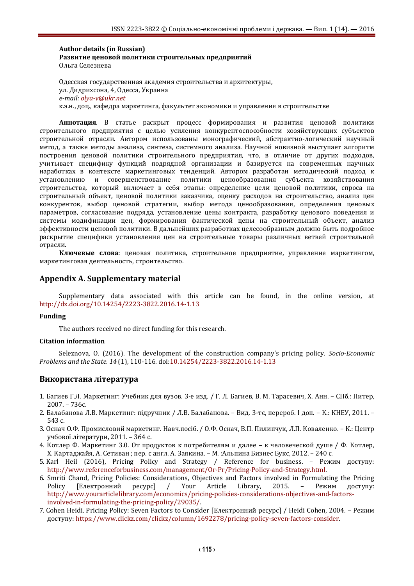#### **Author details (in Russian) Развитие ценовой политики строительных предприятий** Ольга Селезнева

Одесская государственная академия строительства и архитектуры, ул. Дидрихсона, 4, Одесса, Украина *e-mail[: olya-v@ukr.net](mailto:olya-v@ukr.net)* к.э.н., доц., кафедра маркетинга, факультет экономики и управления в строительстве

**Аннотация**. В статье раскрыт процесс формирования и развития ценовой политики строительного предприятия с целью усиления конкурентоспособности хозяйствующих субъектов строительной отрасли. Автором использованы монографический, абстрактно-логический научный метод, а также методы анализа, синтеза, системного анализа. Научной новизной выступает алгоритм построения ценовой политики строительного предприятия, что, в отличие от других подходов, учитывает специфику функций подрядной организации и базируется на современных научных наработках в контексте маркетинговых тенденций. Автором разработан методический подход к установлению и совершенствование политики ценообразования субъекта хозяйствования строительства, который включает в себя этапы: определение цели ценовой политики, спроса на строительный объект, ценовой политики заказчика, оценку расходов на строительство, анализ цен конкурентов, выбор ценовой стратегии, выбор метода ценообразования, определения ценовых параметров, согласование подряда, установление цены контракта, разработку ценового поведения и системы модификации цен, формирования фактической цены на строительный объект, анализ эффективности ценовой политики. В дальнейших разработках целесообразным должно быть подробное раскрытие специфики установления цен на строительные товары различных ветвей строительной отрасли.

**Ключевые слова**: ценовая политика, строительное предприятие, управление маркетингом, маркетинговая деятельность, строительство.

## **Appendix A. Supplementary material**

Supplementary data associated with this article can be found, in the online version, at <http://dx.doi.org/10.14254/2223-3822.2016.14-1.13>

#### **Funding**

The authors received no direct funding for this research.

#### **Citation information**

Seleznova, O. (2016). The development of the construction company's pricing policy. *Socio-Economic Problems and the State*. *14* (1), 110-116. [doi:10.14254/2223-3822.2016.14-1.13](http://dx.doi.org/10.14254/2223-3822.2016.14-1.13)

### **Використана література**

- 1. Багиев Г.Л. Маркетинг: Учебник для вузов. 3-е изд. / Г. Л. Багиев, В. М. Тарасевич, Х. Анн. СПб.: Питер, 2007. – 736с.
- 2. Балабанова Л.В. Маркетинг: підручник / Л.В. Балабанова. Вид. 3-тє, перероб. І доп. К.: КНЕУ, 2011. 543 с.
- 3. Оснач О.Ф. Промисловий маркетинг. Навч.посіб. / О.Ф. Оснач, В.П. Пилипчук, Л.П. Коваленко. К.: Центр учбової літератури, 2011. – 364 с.
- 4. Котлер Ф. Маркетинг 3.0. От продуктов к потребителям и далее к человеческой душе / Ф. Котлер, Х. Картаджайя, А. Сетиван ; пер. с англ. А. Заякина. – М. :Альпина Бизнес Букс, 2012. – 240 с.
- 5. Karl Heil (2016), Pricing Policy and Strategy / Reference for business. Режим доступу: [http://www.referenceforbusiness.com/management/Or-Pr/Pricing-Policy-and-Strategy.html.](http://www.referenceforbusiness.com/management/Or-Pr/Pricing-Policy-and-Strategy.html)
- 6. Smriti Chand, Pricing Policies: Considerations, Objectives and Factors involved in Formulating the Pricing Policy [Електронний ресурс] / Your Article Library, 2015. – Режим доступу: [http://www.yourarticlelibrary.com/economics/pricing-policies-considerations-objectives-and-factors](http://www.yourarticlelibrary.com/economics/pricing-policies-considerations-objectives-and-factors-involved-in-formulating-the-pricing-policy/29035/)[involved-in-formulating-the-pricing-policy/29035/.](http://www.yourarticlelibrary.com/economics/pricing-policies-considerations-objectives-and-factors-involved-in-formulating-the-pricing-policy/29035/)
- 7. Cohen Heidi. Pricing Policy: Seven Factors to Consider [Електронний ресурс] / Heidi Cohen, 2004. Режим доступу: [https://www.clickz.com/clickz/column/1692278/pricing-policy-seven-factors-consider.](https://www.clickz.com/clickz/column/1692278/pricing-policy-seven-factors-consider)